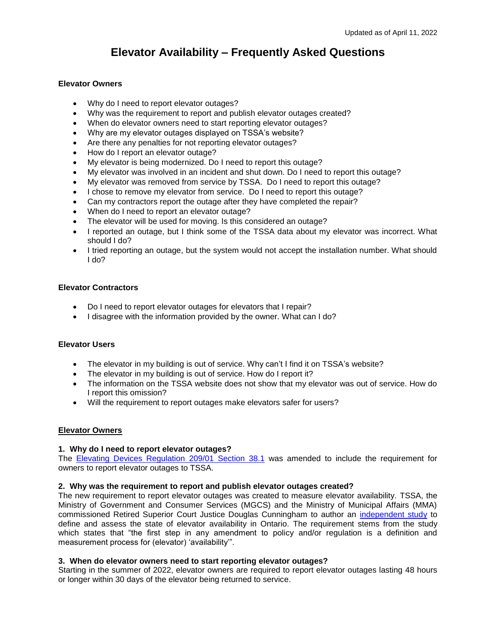# **Elevator Availability – Frequently Asked Questions**

## **Elevator Owners**

- Why do I need to report elevator outages?
- Why was the requirement to report and publish elevator outages created?
- When do elevator owners need to start reporting elevator outages?
- Why are my elevator outages displayed on TSSA's website?
- Are there any penalties for not reporting elevator outages?
- How do I report an elevator outage?
- My elevator is being modernized. Do I need to report this outage?
- My elevator was involved in an incident and shut down. Do I need to report this outage?
- My elevator was removed from service by TSSA. Do I need to report this outage?
- I chose to remove my elevator from service. Do I need to report this outage?
- Can my contractors report the outage after they have completed the repair?
- When do I need to report an elevator outage?
- The elevator will be used for moving. Is this considered an outage?
- I reported an outage, but I think some of the TSSA data about my elevator was incorrect. What should I do?
- I tried reporting an outage, but the system would not accept the installation number. What should I do?

## **Elevator Contractors**

- Do I need to report elevator outages for elevators that I repair?
- I disagree with the information provided by the owner. What can I do?

#### **Elevator Users**

- The elevator in my building is out of service. Why can't I find it on TSSA's website?
- The elevator in my building is out of service. How do I report it?
- The information on the TSSA website does not show that my elevator was out of service. How do I report this omission?
- Will the requirement to report outages make elevators safer for users?

#### **Elevator Owners**

#### **1. Why do I need to report elevator outages?**

The [Elevating Devices Regulation 209/01](https://www.ontario.ca/laws/regulation/010209#BK44) Section 38.1 was amended to include the requirement for owners to report elevator outages to TSSA.

#### **2. Why was the requirement to report and publish elevator outages created?**

The new requirement to report elevator outages was created to measure elevator availability. TSSA, the Ministry of Government and Consumer Services (MGCS) and the Ministry of Municipal Affairs (MMA) commissioned Retired Superior Court Justice Douglas Cunningham to author an [independent study](https://www.tssa.org/Modules/News/index.aspx?feedId=a432fea8-34f2-4fb2-97ec-b393c44fc0eb&newsId=c30d9b40-0544-4e38-92d5-be3275000def) to define and assess the state of elevator availability in Ontario. The requirement stems from the study which states that "the first step in any amendment to policy and/or regulation is a definition and measurement process for (elevator) 'availability'".

#### **3. When do elevator owners need to start reporting elevator outages?**

Starting in the summer of 2022, elevator owners are required to report elevator outages lasting 48 hours or longer within 30 days of the elevator being returned to service.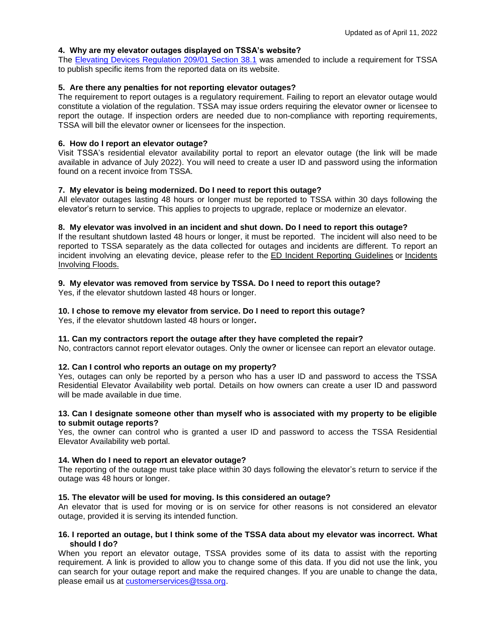#### **4. Why are my elevator outages displayed on TSSA's website?**

The [Elevating Devices Regulation 209/01 Section 38.1](https://www.ontario.ca/laws/regulation/010209#BK44) was amended to include a requirement for TSSA to publish specific items from the reported data on its website.

#### **5. Are there any penalties for not reporting elevator outages?**

The requirement to report outages is a regulatory requirement. Failing to report an elevator outage would constitute a violation of the regulation. TSSA may issue orders requiring the elevator owner or licensee to report the outage. If inspection orders are needed due to non-compliance with reporting requirements, TSSA will bill the elevator owner or licensees for the inspection.

#### **6. How do I report an elevator outage?**

Visit TSSA's residential elevator availability portal to report an elevator outage (the link will be made available in advance of July 2022). You will need to create a user ID and password using the information found on a recent invoice from TSSA.

## **7. My elevator is being modernized. Do I need to report this outage?**

All elevator outages lasting 48 hours or longer must be reported to TSSA within 30 days following the elevator's return to service. This applies to projects to upgrade, replace or modernize an elevator.

## **8. My elevator was involved in an incident and shut down. Do I need to report this outage?**

If the resultant shutdown lasted 48 hours or longer, it must be reported. The incident will also need to be reported to TSSA separately as the data collected for outages and incidents are different. To report an incident involving an elevating device, please refer to the [ED Incident Reporting Guidelines](https://www.tssa.org/en/elevating-devices/resources/Documents/ED-Guideline-for-Incident-Reporting.pdf) or [Incidents](https://www.tssa.org/en/operating-engineers/resources/Documents/IPP-ED0037-Flood-Damage-363-rev20180205.pdf)  [Involving Floods.](https://www.tssa.org/en/operating-engineers/resources/Documents/IPP-ED0037-Flood-Damage-363-rev20180205.pdf)

## **9. My elevator was removed from service by TSSA. Do I need to report this outage?**

Yes, if the elevator shutdown lasted 48 hours or longer.

## **10. I chose to remove my elevator from service. Do I need to report this outage?**

Yes, if the elevator shutdown lasted 48 hours or longer**.** 

#### **11. Can my contractors report the outage after they have completed the repair?**

No, contractors cannot report elevator outages. Only the owner or licensee can report an elevator outage.

#### **12. Can I control who reports an outage on my property?**

Yes, outages can only be reported by a person who has a user ID and password to access the TSSA Residential Elevator Availability web portal. Details on how owners can create a user ID and password will be made available in due time.

#### **13. Can I designate someone other than myself who is associated with my property to be eligible to submit outage reports?**

Yes, the owner can control who is granted a user ID and password to access the TSSA Residential Elevator Availability web portal.

#### **14. When do I need to report an elevator outage?**

The reporting of the outage must take place within 30 days following the elevator's return to service if the outage was 48 hours or longer.

#### **15. The elevator will be used for moving. Is this considered an outage?**

An elevator that is used for moving or is on service for other reasons is not considered an elevator outage, provided it is serving its intended function.

#### **16. I reported an outage, but I think some of the TSSA data about my elevator was incorrect. What should I do?**

When you report an elevator outage, TSSA provides some of its data to assist with the reporting requirement. A link is provided to allow you to change some of this data. If you did not use the link, you can search for your outage report and make the required changes. If you are unable to change the data, please email us at [customerservices@tssa.org.](mailto:customerservices@tssa.org)